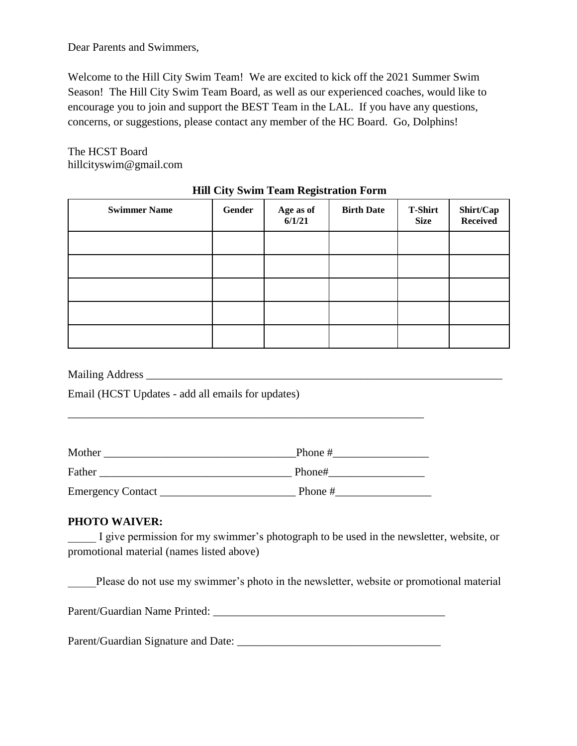Dear Parents and Swimmers,

Welcome to the Hill City Swim Team! We are excited to kick off the 2021 Summer Swim Season! The Hill City Swim Team Board, as well as our experienced coaches, would like to encourage you to join and support the BEST Team in the LAL. If you have any questions, concerns, or suggestions, please contact any member of the HC Board. Go, Dolphins!

The HCST Board hillcityswim@gmail.com

| <b>Swimmer Name</b> | Gender | Age as of<br>6/1/21 | <b>Birth Date</b> | <b>T-Shirt</b><br><b>Size</b> | <b>Shirt/Cap</b><br>Received |
|---------------------|--------|---------------------|-------------------|-------------------------------|------------------------------|
|                     |        |                     |                   |                               |                              |
|                     |        |                     |                   |                               |                              |
|                     |        |                     |                   |                               |                              |
|                     |        |                     |                   |                               |                              |
|                     |        |                     |                   |                               |                              |

## **Hill City Swim Team Registration Form**

Mailing Address \_\_\_\_\_\_\_\_\_\_\_\_\_\_\_\_\_\_\_\_\_\_\_\_\_\_\_\_\_\_\_\_\_\_\_\_\_\_\_\_\_\_\_\_\_\_\_\_\_\_\_\_\_\_\_\_\_\_\_\_\_\_\_

Email (HCST Updates - add all emails for updates)

| Mother                   | Phone # |
|--------------------------|---------|
| Father                   | Phone#  |
| <b>Emergency Contact</b> | Phone # |

\_\_\_\_\_\_\_\_\_\_\_\_\_\_\_\_\_\_\_\_\_\_\_\_\_\_\_\_\_\_\_\_\_\_\_\_\_\_\_\_\_\_\_\_\_\_\_\_\_\_\_\_\_\_\_\_\_\_\_\_\_\_\_

## **PHOTO WAIVER:**

I give permission for my swimmer's photograph to be used in the newsletter, website, or promotional material (names listed above)

Please do not use my swimmer's photo in the newsletter, website or promotional material

| Parent/Guardian Name Printed: |  |
|-------------------------------|--|
|                               |  |

Parent/Guardian Signature and Date: \_\_\_\_\_\_\_\_\_\_\_\_\_\_\_\_\_\_\_\_\_\_\_\_\_\_\_\_\_\_\_\_\_\_\_\_